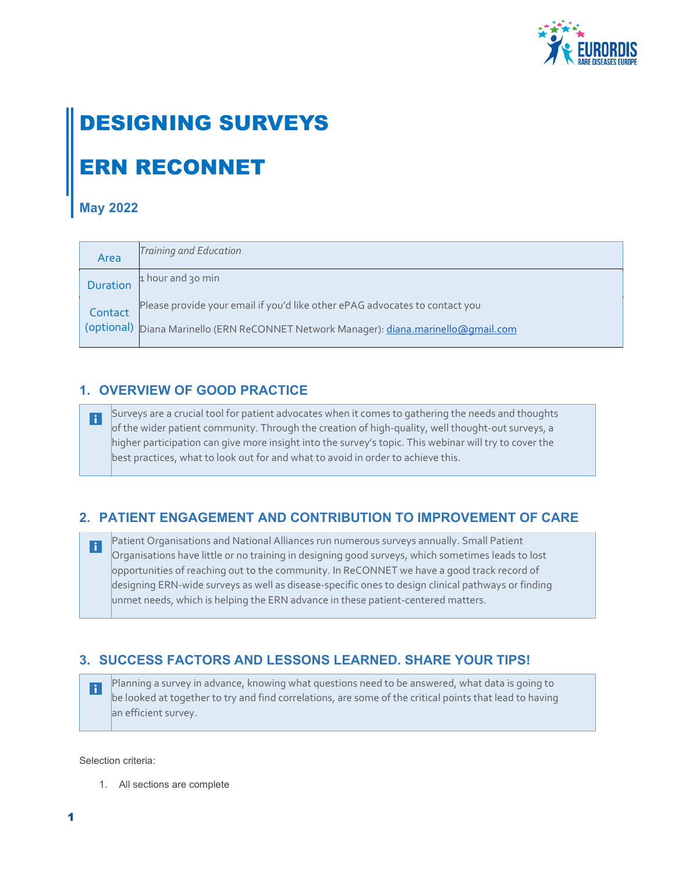

# DESIGNING SURVEYS ERN RECONNET

#### **May 2022**

| Area            | Training and Education                                                               |
|-----------------|--------------------------------------------------------------------------------------|
| <b>Duration</b> | 1 hour and 30 min                                                                    |
| Contact         | Please provide your email if you'd like other ePAG advocates to contact you          |
|                 | (optional) Diana Marinello (ERN ReCONNET Network Manager): diana.marinello@qmail.com |

### **1. OVERVIEW OF GOOD PRACTICE**

Surveys are a crucial tool for patient advocates when it comes to gathering the needs and thoughts  $\mathbf{I}$ of the wider patient community. Through the creation of high-quality, well thought-out surveys, a higher participation can give more insight into the survey's topic. This webinar will try to cover the best practices, what to look out for and what to avoid in order to achieve this.

## **2. PATIENT ENGAGEMENT AND CONTRIBUTION TO IMPROVEMENT OF CARE**

Patient Organisations and National Alliances run numerous surveys annually. Small Patient  $\left| \cdot \right|$ Organisations have little or no training in designing good surveys, which sometimes leads to lost opportunities of reaching out to the community. In ReCONNET we have a good track record of designing ERN-wide surveys as well as disease-specific ones to design clinical pathways or finding unmet needs, which is helping the ERN advance in these patient-centered matters.

### **3. SUCCESS FACTORS AND LESSONS LEARNED. SHARE YOUR TIPS!**

Planning a survey in advance, knowing what questions need to be answered, what data is going to H be looked at together to try and find correlations, are some of the critical points that lead to having an efficient survey.

Selection criteria:

1. All sections are complete